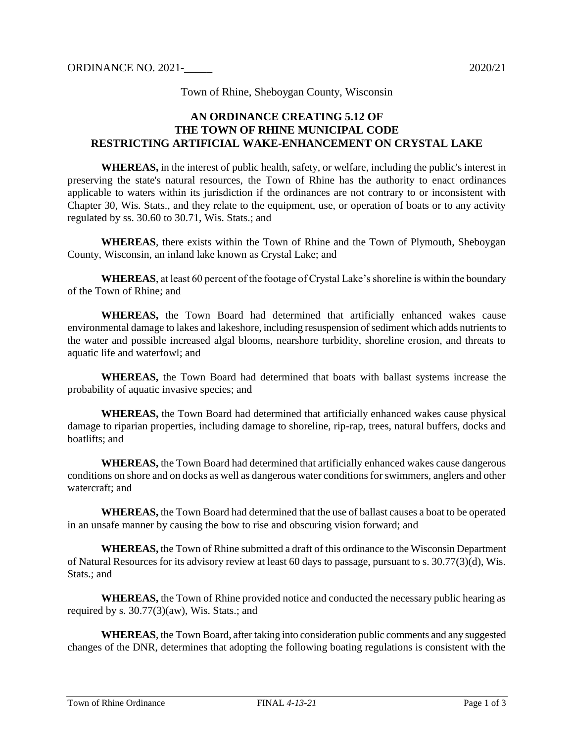Town of Rhine, Sheboygan County, Wisconsin

#### **AN ORDINANCE CREATING 5.12 OF THE TOWN OF RHINE MUNICIPAL CODE RESTRICTING ARTIFICIAL WAKE-ENHANCEMENT ON CRYSTAL LAKE**

**WHEREAS,** in the interest of public health, safety, or welfare, including the public's interest in preserving the state's natural resources, the Town of Rhine has the authority to enact ordinances applicable to waters within its jurisdiction if the ordinances are not contrary to or inconsistent with Chapter 30, Wis. Stats., and they relate to the equipment, use, or operation of boats or to any activity regulated by ss. 30.60 to 30.71, Wis. Stats.; and

**WHEREAS**, there exists within the Town of Rhine and the Town of Plymouth, Sheboygan County, Wisconsin, an inland lake known as Crystal Lake; and

**WHEREAS**, at least 60 percent of the footage of Crystal Lake's shoreline is within the boundary of the Town of Rhine; and

**WHEREAS,** the Town Board had determined that artificially enhanced wakes cause environmental damage to lakes and lakeshore, including resuspension of sediment which adds nutrients to the water and possible increased algal blooms, nearshore turbidity, shoreline erosion, and threats to aquatic life and waterfowl; and

**WHEREAS,** the Town Board had determined that boats with ballast systems increase the probability of aquatic invasive species; and

**WHEREAS,** the Town Board had determined that artificially enhanced wakes cause physical damage to riparian properties, including damage to shoreline, rip-rap, trees, natural buffers, docks and boatlifts; and

**WHEREAS,** the Town Board had determined that artificially enhanced wakes cause dangerous conditions on shore and on docks as well as dangerous water conditions for swimmers, anglers and other watercraft; and

**WHEREAS,** the Town Board had determined that the use of ballast causes a boat to be operated in an unsafe manner by causing the bow to rise and obscuring vision forward; and

**WHEREAS,** the Town of Rhine submitted a draft of this ordinance to the Wisconsin Department of Natural Resources for its advisory review at least 60 days to passage, pursuant to s. 30.77(3)(d), Wis. Stats.: and

**WHEREAS,** the Town of Rhine provided notice and conducted the necessary public hearing as required by s.  $30.77(3)(aw)$ , Wis. Stats.; and

**WHEREAS**, the Town Board, after taking into consideration public comments and any suggested changes of the DNR, determines that adopting the following boating regulations is consistent with the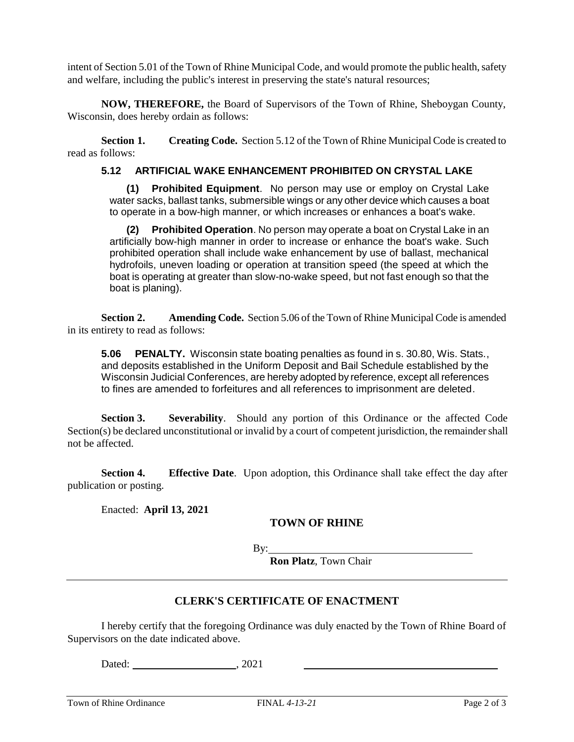intent of Section 5.01 of the Town of Rhine Municipal Code, and would promote the public health, safety and welfare, including the public's interest in preserving the state's natural resources;

**NOW, THEREFORE,** the Board of Supervisors of the Town of Rhine, Sheboygan County, Wisconsin, does hereby ordain as follows:

**Section 1. Creating Code.** Section 5.12 of the Town of Rhine Municipal Code is created to read as follows:

#### **5.12 ARTIFICIAL WAKE ENHANCEMENT PROHIBITED ON CRYSTAL LAKE**

**(1) Prohibited Equipment**. No person may use or employ on Crystal Lake water sacks, ballast tanks, submersible wings or any other device which causes a boat to operate in a bow-high manner, or which increases or enhances a boat's wake.

**(2) Prohibited Operation**. No person may operate a boat on Crystal Lake in an artificially bow-high manner in order to increase or enhance the boat's wake. Such prohibited operation shall include wake enhancement by use of ballast, mechanical hydrofoils, uneven loading or operation at transition speed (the speed at which the boat is operating at greater than slow-no-wake speed, but not fast enough so that the boat is planing).

**Section 2. Amending Code.** Section 5.06 of the Town of Rhine Municipal Code is amended in its entirety to read as follows:

**5.06 PENALTY.** Wisconsin state boating penalties as found in s. 30.80, Wis. Stats., and deposits established in the Uniform Deposit and Bail Schedule established by the Wisconsin Judicial Conferences, are hereby adopted by reference, except all references to fines are amended to forfeitures and all references to imprisonment are deleted.

**Section 3. Severability**. Should any portion of this Ordinance or the affected Code Section(s) be declared unconstitutional or invalid by a court of competent jurisdiction, the remainder shall not be affected.

**Section 4. Effective Date**. Upon adoption, this Ordinance shall take effect the day after publication or posting.

Enacted: **April 13, 2021**

# **TOWN OF RHINE**

By:

**Ron Platz**, Town Chair

# **CLERK'S CERTIFICATE OF ENACTMENT**

I hereby certify that the foregoing Ordinance was duly enacted by the Town of Rhine Board of Supervisors on the date indicated above.

Dated:  $, 2021$